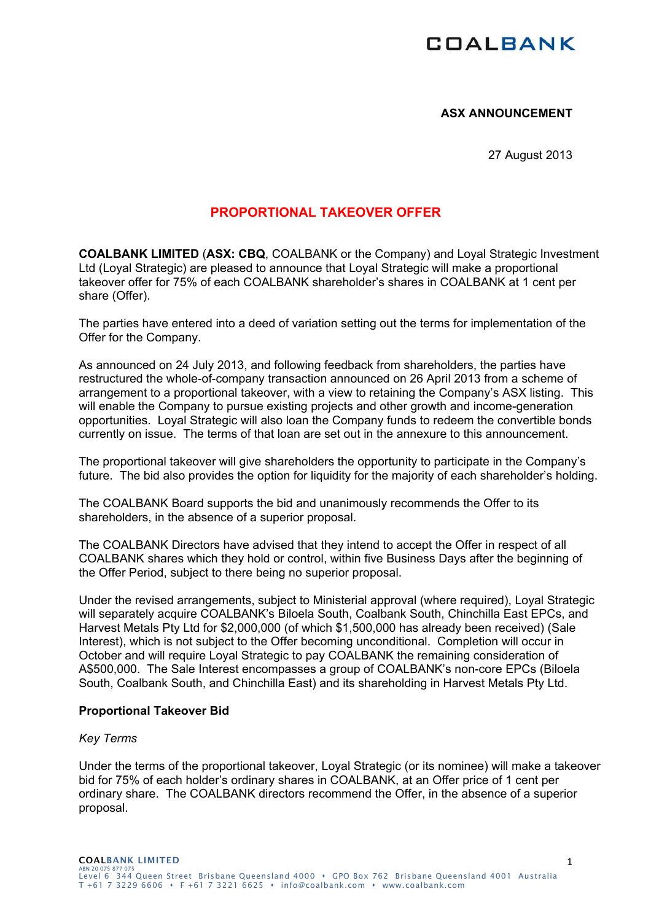# **COALBANK**

### **ASX ANNOUNCEMENT**

27 August 2013

## **PROPORTIONAL TAKEOVER OFFER**

**COALBANK LIMITED** (**ASX: CBQ**, COALBANK or the Company) and Loyal Strategic Investment Ltd (Loyal Strategic) are pleased to announce that Loyal Strategic will make a proportional takeover offer for 75% of each COALBANK shareholder's shares in COALBANK at 1 cent per share (Offer).

The parties have entered into a deed of variation setting out the terms for implementation of the Offer for the Company.

As announced on 24 July 2013, and following feedback from shareholders, the parties have restructured the whole-of-company transaction announced on 26 April 2013 from a scheme of arrangement to a proportional takeover, with a view to retaining the Company's ASX listing. This will enable the Company to pursue existing projects and other growth and income-generation opportunities. Loyal Strategic will also loan the Company funds to redeem the convertible bonds currently on issue. The terms of that loan are set out in the annexure to this announcement.

The proportional takeover will give shareholders the opportunity to participate in the Company's future. The bid also provides the option for liquidity for the majority of each shareholder's holding.

The COALBANK Board supports the bid and unanimously recommends the Offer to its shareholders, in the absence of a superior proposal.

The COALBANK Directors have advised that they intend to accept the Offer in respect of all COALBANK shares which they hold or control, within five Business Days after the beginning of the Offer Period, subject to there being no superior proposal.

Under the revised arrangements, subject to Ministerial approval (where required), Loyal Strategic will separately acquire COALBANK's Biloela South, Coalbank South, Chinchilla East EPCs, and Harvest Metals Pty Ltd for \$2,000,000 (of which \$1,500,000 has already been received) (Sale Interest), which is not subject to the Offer becoming unconditional. Completion will occur in October and will require Loyal Strategic to pay COALBANK the remaining consideration of A\$500,000. The Sale Interest encompasses a group of COALBANK's non-core EPCs (Biloela South, Coalbank South, and Chinchilla East) and its shareholding in Harvest Metals Pty Ltd.

#### **Proportional Takeover Bid**

### *Key Terms*

Under the terms of the proportional takeover, Loyal Strategic (or its nominee) will make a takeover bid for 75% of each holder's ordinary shares in COALBANK, at an Offer price of 1 cent per ordinary share. The COALBANK directors recommend the Offer, in the absence of a superior proposal.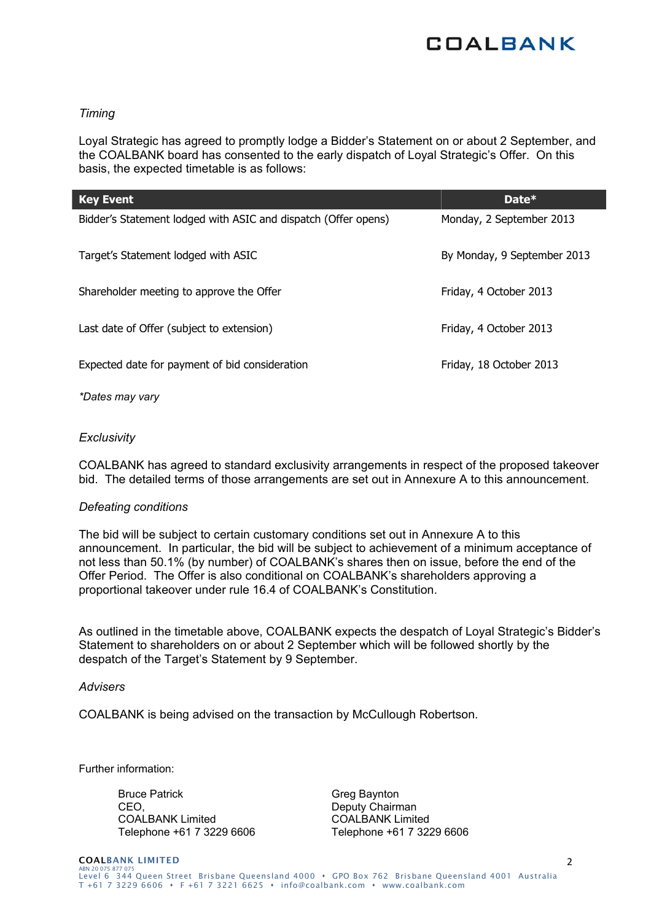

### *Timing*

Loyal Strategic has agreed to promptly lodge a Bidder's Statement on or about 2 September, and the COALBANK board has consented to the early dispatch of Loyal Strategic's Offer. On this basis, the expected timetable is as follows:

| <b>Key Event</b>                                               | Date*                       |
|----------------------------------------------------------------|-----------------------------|
| Bidder's Statement lodged with ASIC and dispatch (Offer opens) | Monday, 2 September 2013    |
| Target's Statement lodged with ASIC                            | By Monday, 9 September 2013 |
| Shareholder meeting to approve the Offer                       | Friday, 4 October 2013      |
| Last date of Offer (subject to extension)                      | Friday, 4 October 2013      |
| Expected date for payment of bid consideration                 | Friday, 18 October 2013     |

*\*Dates may vary* 

#### *Exclusivity*

COALBANK has agreed to standard exclusivity arrangements in respect of the proposed takeover bid. The detailed terms of those arrangements are set out in Annexure A to this announcement.

#### *Defeating conditions*

The bid will be subject to certain customary conditions set out in Annexure A to this announcement. In particular, the bid will be subject to achievement of a minimum acceptance of not less than 50.1% (by number) of COALBANK's shares then on issue, before the end of the Offer Period. The Offer is also conditional on COALBANK's shareholders approving a proportional takeover under rule 16.4 of COALBANK's Constitution.

As outlined in the timetable above, COALBANK expects the despatch of Loyal Strategic's Bidder's Statement to shareholders on or about 2 September which will be followed shortly by the despatch of the Target's Statement by 9 September.

#### *Advisers*

COALBANK is being advised on the transaction by McCullough Robertson.

Further information:

Bruce Patrick CEO, COALBANK Limited Telephone +61 7 3229 6606 Greg Baynton Deputy Chairman COALBANK Limited Telephone +61 7 3229 6606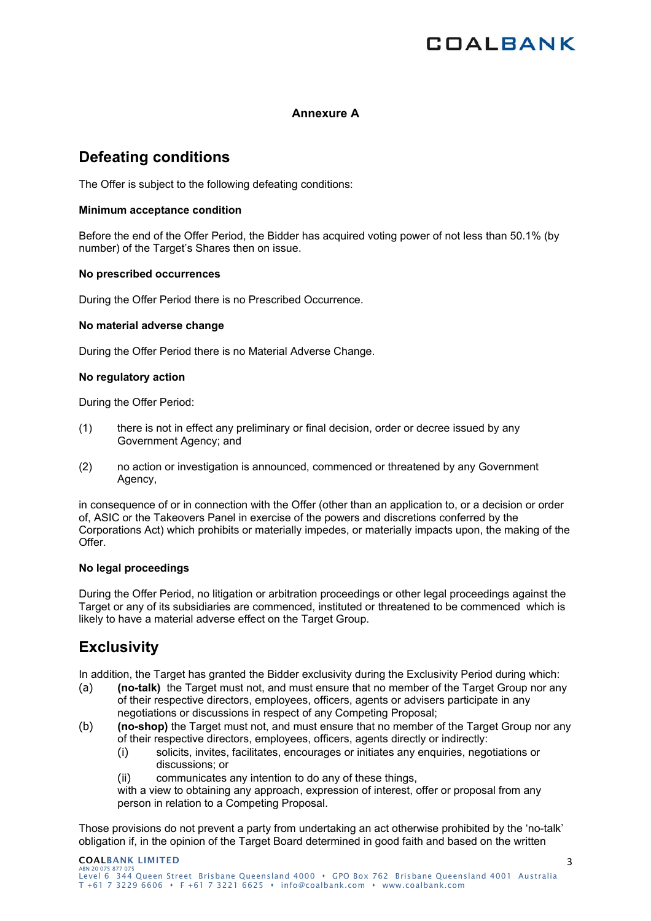# **COALBANK**

### **Annexure A**

## **Defeating conditions**

The Offer is subject to the following defeating conditions:

### **Minimum acceptance condition**

Before the end of the Offer Period, the Bidder has acquired voting power of not less than 50.1% (by number) of the Target's Shares then on issue.

#### **No prescribed occurrences**

During the Offer Period there is no Prescribed Occurrence.

#### **No material adverse change**

During the Offer Period there is no Material Adverse Change.

#### **No regulatory action**

During the Offer Period:

- (1) there is not in effect any preliminary or final decision, order or decree issued by any Government Agency; and
- (2) no action or investigation is announced, commenced or threatened by any Government Agency,

in consequence of or in connection with the Offer (other than an application to, or a decision or order of, ASIC or the Takeovers Panel in exercise of the powers and discretions conferred by the Corporations Act) which prohibits or materially impedes, or materially impacts upon, the making of the Offer.

#### **No legal proceedings**

During the Offer Period, no litigation or arbitration proceedings or other legal proceedings against the Target or any of its subsidiaries are commenced, instituted or threatened to be commenced which is likely to have a material adverse effect on the Target Group.

# **Exclusivity**

In addition, the Target has granted the Bidder exclusivity during the Exclusivity Period during which:

- (a) **(no-talk)** the Target must not, and must ensure that no member of the Target Group nor any of their respective directors, employees, officers, agents or advisers participate in any negotiations or discussions in respect of any Competing Proposal;
- (b) **(no-shop)** the Target must not, and must ensure that no member of the Target Group nor any of their respective directors, employees, officers, agents directly or indirectly:
	- (i) solicits, invites, facilitates, encourages or initiates any enquiries, negotiations or discussions; or
	- (ii) communicates any intention to do any of these things,

with a view to obtaining any approach, expression of interest, offer or proposal from any person in relation to a Competing Proposal.

Those provisions do not prevent a party from undertaking an act otherwise prohibited by the 'no-talk' obligation if, in the opinion of the Target Board determined in good faith and based on the written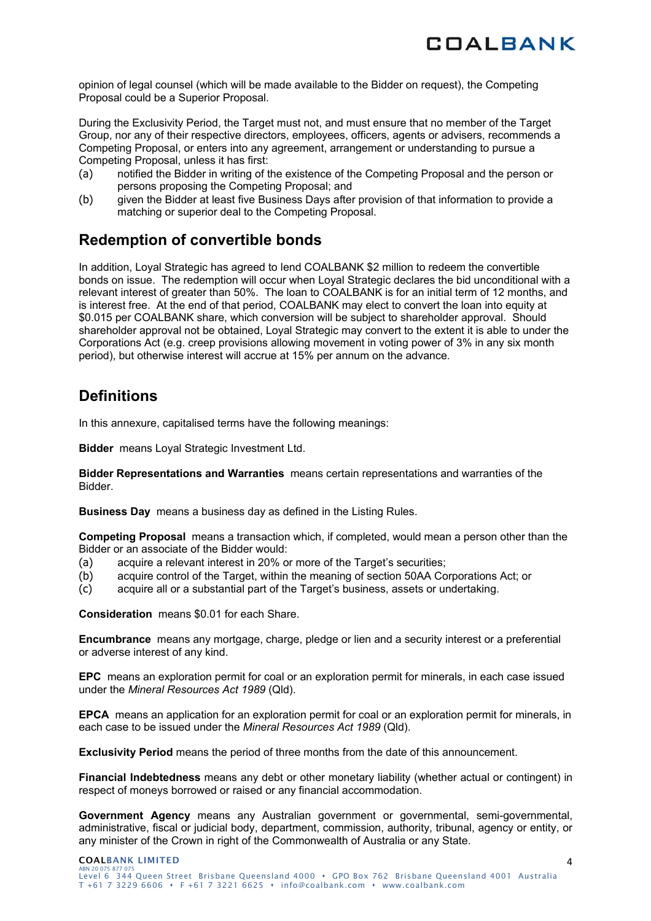opinion of legal counsel (which will be made available to the Bidder on request), the Competing Proposal could be a Superior Proposal.

During the Exclusivity Period, the Target must not, and must ensure that no member of the Target Group, nor any of their respective directors, employees, officers, agents or advisers, recommends a Competing Proposal, or enters into any agreement, arrangement or understanding to pursue a Competing Proposal, unless it has first:

- (a) notified the Bidder in writing of the existence of the Competing Proposal and the person or persons proposing the Competing Proposal; and
- (b) given the Bidder at least five Business Days after provision of that information to provide a matching or superior deal to the Competing Proposal.

# **Redemption of convertible bonds**

In addition, Loyal Strategic has agreed to lend COALBANK \$2 million to redeem the convertible bonds on issue. The redemption will occur when Loyal Strategic declares the bid unconditional with a relevant interest of greater than 50%. The loan to COALBANK is for an initial term of 12 months, and is interest free. At the end of that period, COALBANK may elect to convert the loan into equity at \$0.015 per COALBANK share, which conversion will be subject to shareholder approval. Should shareholder approval not be obtained, Loyal Strategic may convert to the extent it is able to under the Corporations Act (e.g. creep provisions allowing movement in voting power of 3% in any six month period), but otherwise interest will accrue at 15% per annum on the advance.

# **Definitions**

In this annexure, capitalised terms have the following meanings:

**Bidder** means Loyal Strategic Investment Ltd.

**Bidder Representations and Warranties** means certain representations and warranties of the Bidder.

**Business Day** means a business day as defined in the Listing Rules.

**Competing Proposal** means a transaction which, if completed, would mean a person other than the Bidder or an associate of the Bidder would:

- (a) acquire a relevant interest in 20% or more of the Target's securities;
- (b) acquire control of the Target, within the meaning of section 50AA Corporations Act; or
- (c) acquire all or a substantial part of the Target's business, assets or undertaking.

**Consideration** means \$0.01 for each Share.

**Encumbrance** means any mortgage, charge, pledge or lien and a security interest or a preferential or adverse interest of any kind.

**EPC** means an exploration permit for coal or an exploration permit for minerals, in each case issued under the *Mineral Resources Act 1989* (Qld).

**EPCA** means an application for an exploration permit for coal or an exploration permit for minerals, in each case to be issued under the *Mineral Resources Act 1989* (Qld).

**Exclusivity Period** means the period of three months from the date of this announcement.

**Financial Indebtedness** means any debt or other monetary liability (whether actual or contingent) in respect of moneys borrowed or raised or any financial accommodation.

Government Agency means any Australian government or governmental, semi-governmental, administrative, fiscal or judicial body, department, commission, authority, tribunal, agency or entity, or any minister of the Crown in right of the Commonwealth of Australia or any State.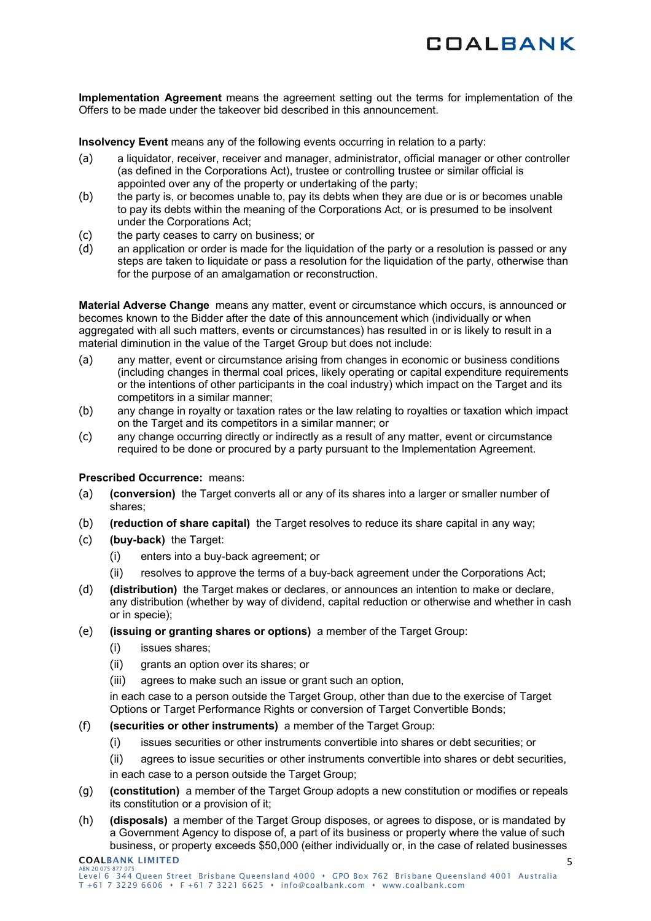

**Implementation Agreement** means the agreement setting out the terms for implementation of the Offers to be made under the takeover bid described in this announcement.

**Insolvency Event** means any of the following events occurring in relation to a party:

- (a) a liquidator, receiver, receiver and manager, administrator, official manager or other controller (as defined in the Corporations Act), trustee or controlling trustee or similar official is appointed over any of the property or undertaking of the party;
- (b) the party is, or becomes unable to, pay its debts when they are due or is or becomes unable to pay its debts within the meaning of the Corporations Act, or is presumed to be insolvent under the Corporations Act;
- (c) the party ceases to carry on business; or
- (d) an application or order is made for the liquidation of the party or a resolution is passed or any steps are taken to liquidate or pass a resolution for the liquidation of the party, otherwise than for the purpose of an amalgamation or reconstruction.

**Material Adverse Change** means any matter, event or circumstance which occurs, is announced or becomes known to the Bidder after the date of this announcement which (individually or when aggregated with all such matters, events or circumstances) has resulted in or is likely to result in a material diminution in the value of the Target Group but does not include:

- (a) any matter, event or circumstance arising from changes in economic or business conditions (including changes in thermal coal prices, likely operating or capital expenditure requirements or the intentions of other participants in the coal industry) which impact on the Target and its competitors in a similar manner;
- (b) any change in royalty or taxation rates or the law relating to royalties or taxation which impact on the Target and its competitors in a similar manner; or
- (c) any change occurring directly or indirectly as a result of any matter, event or circumstance required to be done or procured by a party pursuant to the Implementation Agreement.

### **Prescribed Occurrence:** means:

- (a) **(conversion)** the Target converts all or any of its shares into a larger or smaller number of shares;
- (b) **(reduction of share capital)** the Target resolves to reduce its share capital in any way;
- (c) **(buy-back)** the Target:
	- (i) enters into a buy-back agreement; or
	- (ii) resolves to approve the terms of a buy-back agreement under the Corporations Act;
- (d) **(distribution)** the Target makes or declares, or announces an intention to make or declare, any distribution (whether by way of dividend, capital reduction or otherwise and whether in cash or in specie);
- (e) **(issuing or granting shares or options)** a member of the Target Group:
	- (i) issues shares;
	- (ii) grants an option over its shares; or
	- (iii) agrees to make such an issue or grant such an option,

in each case to a person outside the Target Group, other than due to the exercise of Target Options or Target Performance Rights or conversion of Target Convertible Bonds;

- (f) **(securities or other instruments)** a member of the Target Group:
	- (i) issues securities or other instruments convertible into shares or debt securities; or
	- (ii) agrees to issue securities or other instruments convertible into shares or debt securities,

in each case to a person outside the Target Group;

- (g) **(constitution)** a member of the Target Group adopts a new constitution or modifies or repeals its constitution or a provision of it;
- (h) **(disposals)** a member of the Target Group disposes, or agrees to dispose, or is mandated by a Government Agency to dispose of, a part of its business or property where the value of such business, or property exceeds \$50,000 (either individually or, in the case of related businesses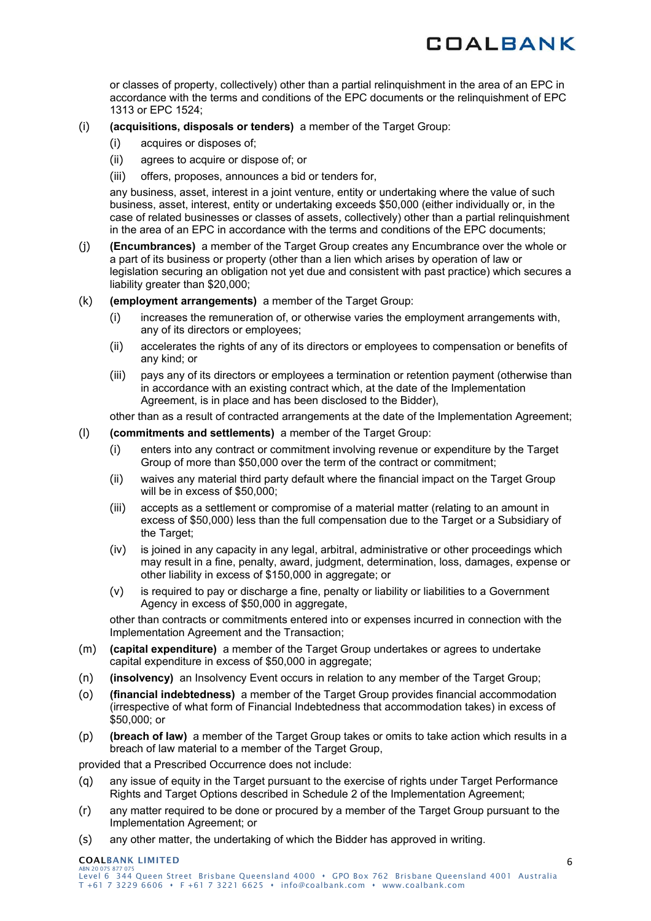or classes of property, collectively) other than a partial relinquishment in the area of an EPC in accordance with the terms and conditions of the EPC documents or the relinquishment of EPC 1313 or EPC 1524;

- (i) **(acquisitions, disposals or tenders)** a member of the Target Group:
	- (i) acquires or disposes of;
	- (ii) agrees to acquire or dispose of; or
	- (iii) offers, proposes, announces a bid or tenders for,

any business, asset, interest in a joint venture, entity or undertaking where the value of such business, asset, interest, entity or undertaking exceeds \$50,000 (either individually or, in the case of related businesses or classes of assets, collectively) other than a partial relinquishment in the area of an EPC in accordance with the terms and conditions of the EPC documents;

- (j) **(Encumbrances)** a member of the Target Group creates any Encumbrance over the whole or a part of its business or property (other than a lien which arises by operation of law or legislation securing an obligation not yet due and consistent with past practice) which secures a liability greater than \$20,000;
- (k) **(employment arrangements)** a member of the Target Group:
	- (i) increases the remuneration of, or otherwise varies the employment arrangements with, any of its directors or employees;
	- (ii) accelerates the rights of any of its directors or employees to compensation or benefits of any kind; or
	- (iii) pays any of its directors or employees a termination or retention payment (otherwise than in accordance with an existing contract which, at the date of the Implementation Agreement, is in place and has been disclosed to the Bidder),

other than as a result of contracted arrangements at the date of the Implementation Agreement;

#### (l) **(commitments and settlements)** a member of the Target Group:

- (i) enters into any contract or commitment involving revenue or expenditure by the Target Group of more than \$50,000 over the term of the contract or commitment;
- (ii) waives any material third party default where the financial impact on the Target Group will be in excess of \$50,000;
- (iii) accepts as a settlement or compromise of a material matter (relating to an amount in excess of \$50,000) less than the full compensation due to the Target or a Subsidiary of the Target;
- (iv) is joined in any capacity in any legal, arbitral, administrative or other proceedings which may result in a fine, penalty, award, judgment, determination, loss, damages, expense or other liability in excess of \$150,000 in aggregate; or
- (v) is required to pay or discharge a fine, penalty or liability or liabilities to a Government Agency in excess of \$50,000 in aggregate,

other than contracts or commitments entered into or expenses incurred in connection with the Implementation Agreement and the Transaction;

- (m) **(capital expenditure)** a member of the Target Group undertakes or agrees to undertake capital expenditure in excess of \$50,000 in aggregate;
- (n) **(insolvency)** an Insolvency Event occurs in relation to any member of the Target Group;
- (o) **(financial indebtedness)** a member of the Target Group provides financial accommodation (irrespective of what form of Financial Indebtedness that accommodation takes) in excess of \$50,000; or
- (p) **(breach of law)** a member of the Target Group takes or omits to take action which results in a breach of law material to a member of the Target Group,

provided that a Prescribed Occurrence does not include:

- (q) any issue of equity in the Target pursuant to the exercise of rights under Target Performance Rights and Target Options described in Schedule 2 of the Implementation Agreement;
- (r) any matter required to be done or procured by a member of the Target Group pursuant to the Implementation Agreement; or
- (s) any other matter, the undertaking of which the Bidder has approved in writing.

#### COALBANK LIMITED